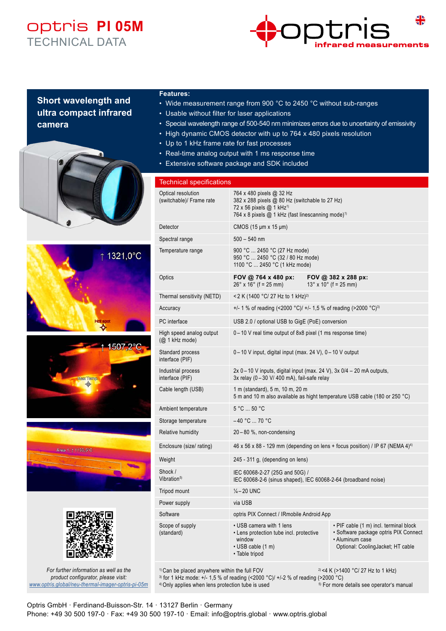## optris **PI 05M** TECHNICAL DATA



### **Short wavelength and ultra compact infrared camera**











*For further information as well as the product configurator, please visit: www.optris.global/neu-thermal-imager-optris-pi-05m*

#### **Features:**

- Wide measurement range from 900 °C to 2450 °C without sub-ranges
- Usable without filter for laser applications
- Special wavelength range of 500-540 nm minimizes errors due to uncertainty of emissivity
- High dynamic CMOS detector with up to 764 x 480 pixels resolution
- Up to 1 kHz frame rate for fast processes
- Real-time analog output with 1 ms response time
- Extensive software package and SDK included

#### Technical specifications Optical resolution (switchable)/ Frame rate 764 x 480 pixels @ 32 Hz 382 x 288 pixels @ 80 Hz (switchable to 27 Hz) 72 x 56 pixels @ 1 kHz<sup>1)</sup> 764 x 8 pixels @ 1 kHz (fast linescanning mode)<sup>1)</sup> Detector CMOS (15 μm x 15 μm) Spectral range 500 – 540 nm Temperature range 900 °C ... 2450 °C (27 Hz mode) 950 °C ... 2450 °C (32 / 80 Hz mode) 1100 °C ... 2450 °C (1 kHz mode) Optics **FOV @ 764 x 480 px: FOV @ 382 x 288 px:**<br>26° x 16° (f = 25 mm) 13° x 10° (f = 25 mm)  $13^\circ \times 10^\circ$  (f = 25 mm) Thermal sensitivity (NETD) < 2 K (1400 °C/ 27 Hz to 1 kHz)<sup>2)</sup> Accuracy  $+/- 1$  % of reading  $\left($  <2000 °C)/  $+/- 1.5$  % of reading  $\left($  >2000 °C)<sup>3</sup> PC interface USB 2.0 / optional USB to GigE (PoE) conversion High speed analog output (@ 1 kHz mode) 0 – 10 V real time output of 8x8 pixel (1 ms response time) Standard process interface (PIF) 0 – 10 V input, digital input (max. 24 V), 0 – 10 V output Industrial process interface (PIF) 2x 0 – 10 V inputs, digital input (max. 24 V), 3x 0/4 – 20 mA outputs,  $3x$  relay (0 – 30 V/ 400 mA), fail-safe relay Cable length (USB) 1 m (standard), 5 m, 10 m, 20 m 5 m and 10 m also available as hight temperature USB cable (180 or 250 °C) Ambient temperature 5 °C ... 50 °C Storage temperature –40 °C ... 70 °C Relative humidity 20 – 80 %, non-condensing Enclosure (size/ rating) 46 x 56 x 88 - 129 mm (depending on lens + focus position) / IP 67 (NEMA 4)<sup>4)</sup> Weight 245 - 311 g, (depending on lens) Shock / Vibration<sup>5)</sup> IEC 60068-2-27 (25G and 50G) / IEC 60068-2-6 (sinus shaped), IEC 60068-2-64 (broadband noise) Tripod mount  $\frac{1}{4} - 20$  UNC Power supply via USB Software **Software** optris PIX Connect / IRmobile Android App Scope of supply (standard) • USB camera with 1 lens • Lens protection tube incl. protective window • USB cable (1 m) • Table tripod • PIF cable (1 m) incl. terminal block • Software package optris PIX Connect • Aluminum case Optional: CoolingJacket; HT cable <sup>1)</sup> Can be placed anywhere within the full FOV  $2$  <4 K (>1400 °C/ 27 Hz to 1 kHz)

<sup>3)</sup> for 1 kHz mode: +/- 1,5 % of reading (<2000 °C)/ +/-2 % of reading (>2000 °C)<br><sup>4)</sup> Only applies when lens protection tube is used<br><sup>4)</sup> Only applies when lens protection tube is used <sup>4)</sup> Only applies when lens protection tube is used